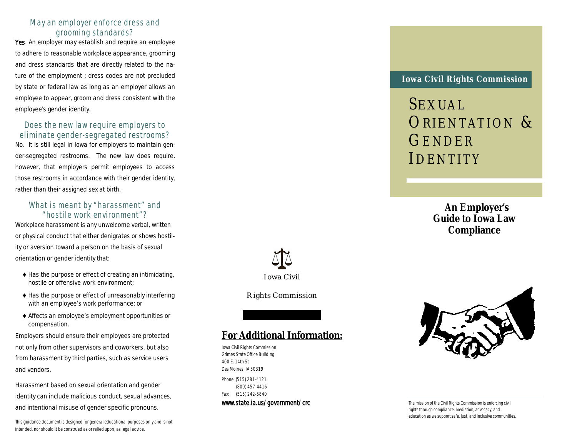#### May an employer enforce dress and grooming standards?

Yes. An employer may establish and require an employee to adhere to reasonable workplace appearance, grooming and dress standards that are directly related to the nature of the employment ; dress codes are not precluded by state or federal law as long as an employer allows an employee to appear, groom and dress consistent with the employee's gender identity.

#### Does the new law require employers to eliminate gender-segregated restrooms?

No. It is still legal in Iowa for employers to maintain gender-segregated restrooms. The new law does require, however, that employers permit employees to access those restrooms in accordance with their gender identity, rather than their assigned sex at birth.

#### What is meant by "harassment" and "hostile work environment"?

Workplace harassment is any unwelcome verbal, written or physical conduct that either denigrates or shows hostility or aversion toward a person on the basis of sexual orientation or gender identity that:

- $\triangle$  Has the purpose or effect of creating an intimidating, hostile or offensive work environment;
- ◆ Has the purpose or effect of unreasonably interfering with an employee's work performance; or
- Affects an employee's employment opportunities or compensation.

Employers should ensure their employees are protected not only from other supervisors and coworkers, but also from harassment by third parties, such as service users and vendors.

Harassment based on sexual orientation and gender identity can include malicious conduct, sexual advances, and intentional misuse of gender specific pronouns.

This guidance document is designed for general educational purposes only and is not intended, nor should it be construed as or relied upon, as legal advice.

# Iowa Civil

Rights Commission

### **For Additional Information:**

Iowa Civil Rights Commission Grimes State Office Building 400 E. 14th St Des Moines, IA 50319 Phone: (515) 281-4121 (800) 457-4416 Fax: (515) 242-5840 www.state.ia.us/government/crc

#### **Iowa Civil Rights Commission**

SEXUAL ORIENTATION & GENDER IDENTITY

> **An Employer's Guide to Iowa Law Compliance**



The mission of the Civil Rights Commission is enforcing civil rights through compliance, mediation, advocacy, and education as we support safe, just, and inclusive communities.